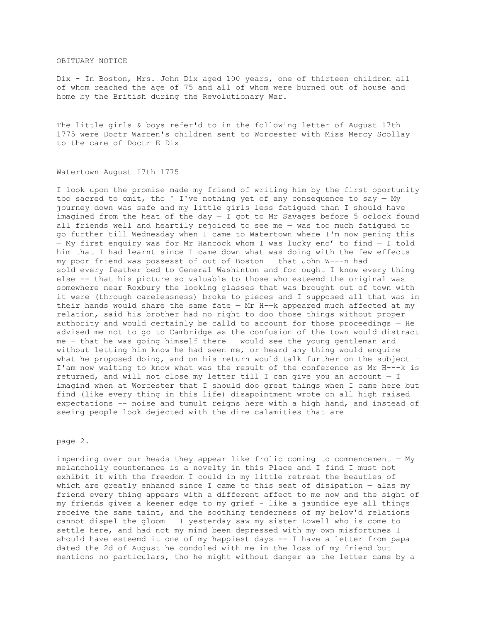### OBITUARY NOTICE

Dix - In Boston, Mrs. John Dix aged 100 years, one of thirteen children all of whom reached the age of 75 and all of whom were burned out of house and home by the British during the Revolutionary War.

The little girls & boys refer'd to in the following letter of August 17th 1775 were Doctr Warren's children sent to Worcester with Miss Mercy Scollay to the care of Doctr E Dix

### Watertown August I7th 1775

I look upon the promise made my friend of writing him by the first oportunity too sacred to omit, tho ' I've nothing yet of any consequence to say  $-$  My journey down was safe and my little girls less fatigued than I should have imagined from the heat of the day  $-$  I got to Mr Savages before 5 oclock found all friends well and heartily rejoiced to see me — was too much fatigued to go further till Wednesday when I came to Watertown where I'm now pening this — My first enquiry was for Mr Hancock whom I was lucky eno' to find — I told him that I had learnt since I came down what was doing with the few effects my poor friend was possesst of out of Boston — that John W---n had sold every feather bed to General Washinton and for ought I know every thing else -- that his picture so valuable to those who esteemd the original was somewhere near Roxbury the looking glasses that was brought out of town with it were (through carelessness) broke to pieces and I supposed all that was in their hands would share the same fate  $-$  Mr H- $-k$  appeared much affected at my relation, said his brother had no right to doo those things without proper authority and would certainly be calld to account for those proceedings — He advised me not to go to Cambridge as the confusion of the town would distract me - that he was going himself there — would see the young gentleman and without letting him know he had seen me, or heard any thing would enquire what he proposed doing, and on his return would talk further on the subject  $-$ I'am now waiting to know what was the result of the conference as Mr H---k is returned, and will not close my letter till I can give you an account — I imagind when at Worcester that I should doo great things when I came here but find (like every thing in this life) disapointment wrote on all high raised expectations -- noise and tumult reigns here with a high hand, and instead of seeing people look dejected with the dire calamities that are

page 2.

impending over our heads they appear like frolic coming to commencement — My melancholly countenance is a novelty in this Place and I find I must not exhibit it with the freedom I could in my little retreat the beauties of which are greatly enhancd since I came to this seat of disipation — alas my friend every thing appears with a different affect to me now and the sight of my friends gives a keener edge to my grief - like a jaundice eye all things receive the same taint, and the soothing tenderness of my belov'd relations cannot dispel the gloom — I yesterday saw my sister Lowell who is come to settle here, and had not my mind been depressed with my own misfortunes I should have esteemd it one of my happiest days -- I have a letter from papa dated the 2d of August he condoled with me in the loss of my friend but mentions no particulars, tho he might without danger as the letter came by a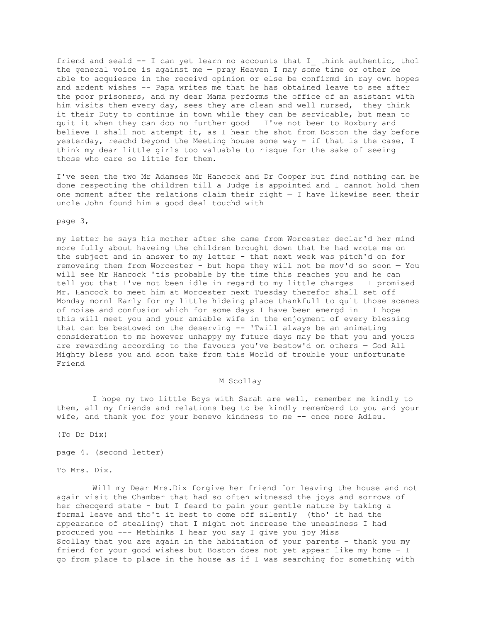friend and seald -- I can yet learn no accounts that I think authentic, tho1 the general voice is against me — pray Heaven I may some time or other be able to acquiesce in the receivd opinion or else be confirmd in ray own hopes and ardent wishes -- Papa writes me that he has obtained leave to see after the poor prisoners, and my dear Mama performs the office of an asistant with him visits them every day, sees they are clean and well nursed, they think it their Duty to continue in town while they can be servicable, but mean to quit it when they can doo no further good — I've not been to Roxbury and believe I shall not attempt it, as I hear the shot from Boston the day before yesterday, reachd beyond the Meeting house some way - if that is the case, I think my dear little girls too valuable to risque for the sake of seeing those who care so little for them.

I've seen the two Mr Adamses Mr Hancock and Dr Cooper but find nothing can be done respecting the children till a Judge is appointed and I cannot hold them one moment after the relations claim their right  $-$  I have likewise seen their uncle John found him a good deal touchd with

page 3,

my letter he says his mother after she came from Worcester declar'd her mind more fully about haveing the children brought down that he had wrote me on the subject and in answer to my letter - that next week was pitch'd on for removeing them from Worcester - but hope they will not be mov'd so soon — You will see Mr Hancock 'tis probable by the time this reaches you and he can tell you that I've not been idle in regard to my little charges — I promised Mr. Hancock to meet him at Worcester next Tuesday therefor shall set off Monday morn1 Early for my little hideing place thankfull to quit those scenes of noise and confusion which for some days I have been emergd in  $-$  I hope this will meet you and your amiable wife in the enjoyment of every blessing that can be bestowed on the deserving -- 'Twill always be an animating consideration to me however unhappy my future days may be that you and yours are rewarding according to the favours you've bestow'd on others — God All Mighty bless you and soon take from this World of trouble your unfortunate Friend

## M Sco11ay

I hope my two little Boys with Sarah are well, remember me kindly to them, all my friends and relations beg to be kindly rememberd to you and your wife, and thank you for your benevo kindness to me -- once more Adieu.

(To Dr Dix)

page 4. (second letter)

To Mrs. Dix.

Will my Dear Mrs.Dix forgive her friend for leaving the house and not again visit the Chamber that had so often witnessd the joys and sorrows of her checqerd state - but I feard to pain your gentle nature by taking a formal leave and tho't it best to come off silently (tho' it had the appearance of stealing) that I might not increase the uneasiness I had procured you --- Methinks I hear you say I give you joy Miss Scollay that you are again in the habitation of your parents - thank you my friend for your good wishes but Boston does not yet appear like my home - I go from place to place in the house as if I was searching for something with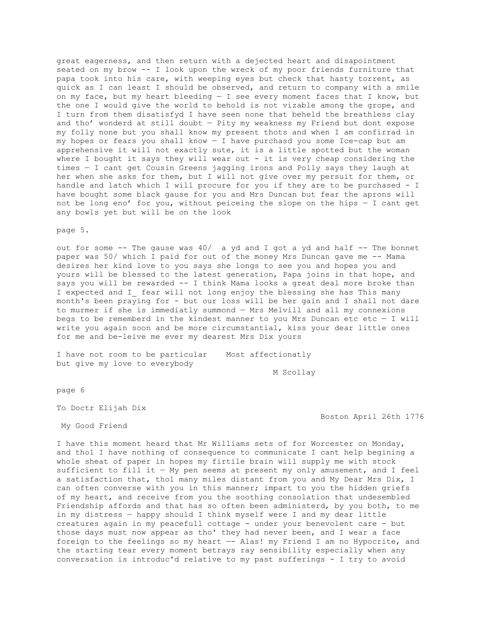great eagerness, and then return with a dejected heart and disapointment seated on my brow -- I look upon the wreck of my poor friends furniture that papa took into his care, with weeping eyes but check that hasty torrent, as quick as I can least I should be observed, and return to company with a smile on my face, but my heart bleeding  $-$  I see every moment faces that I know, but the one I would give the world to behold is not vizable among the grope, and I turn from them disatisfyd I have seen none that beheld the breathless clay and tho' wonderd at still doubt — Pity my weakness my Friend but dont expose my folly none but you shall know my present thots and when I am confirrad in my hopes or fears you shall know — I have purchasd you some Ice-cap but am apprehensive it will not exactly sute, it is a little spotted but the woman where I bought it says they will wear out - it is very cheap considering the times — I cant get Cousin Greens jagging irons and Polly says they laugh at her when she asks for them, but I will not give over my persuit for them, or handle and latch which I will procure for you if they are to be purchased - I have bought some black gause for you and Mrs Duncan but fear the aprons will not be long eno' for you, without peiceing the slope on the hips — I cant get any bowls yet but will be on the look

#### page 5.

out for some -- The gause was 40/ a yd and I got a yd and half -- The bonnet paper was 50/ which I paid for out of the money Mrs Duncan gave me -- Mama desires her kind love to you says she longs to see you and hopes you and yours will be blessed to the latest generation, Papa joins in that hope, and says you will be rewarded -- I think Mama looks a great deal more broke than I expected and I fear will not long enjoy the blessing she has This many month's been praying for - but our loss will be her gain and I shall not dare to murmer if she is immediatly summond — Mrs Melvill and all my connexions begs to be rememberd in the kindest manner to you Mrs Duncan etc etc  $-$  I will write you again soon and be more circumstantial, kiss your dear little ones for me and be-leive me ever my dearest Mrs Dix yours

I have not room to be particular Most affectionatly but give my love to everybody

M Scollay

page 6

To Doctr Elijah Dix

My Good Friend

Boston April 26th 1776

I have this moment heard that Mr Williams sets of for Worcester on Monday, and tho1 I have nothing of consequence to communicate I cant help begining a whole sheat of paper in hopes my firtile brain will supply me with stock sufficient to fill it  $-$  My pen seems at present my only amusement, and I feel a satisfaction that, tho1 many miles distant from you and My Dear Mrs Dix, I can often converse with you in this manner; impart to you the hidden griefs of my heart, and receive from you the soothing consolation that undesembled Friendship affords and that has so often been administerd, by you both, to me in my distress — happy should I think myself were I and my dear little creatures again in my peacefull cottage - under your benevolent care - but those days must now appear as tho' they had never been, and I wear a face foreign to the feelings so my heart —- Alas! my Friend I am no Hypocrite, and the starting tear every moment betrays ray sensibility especially when any conversation is introduc'd relative to my past sufferings - I try to avoid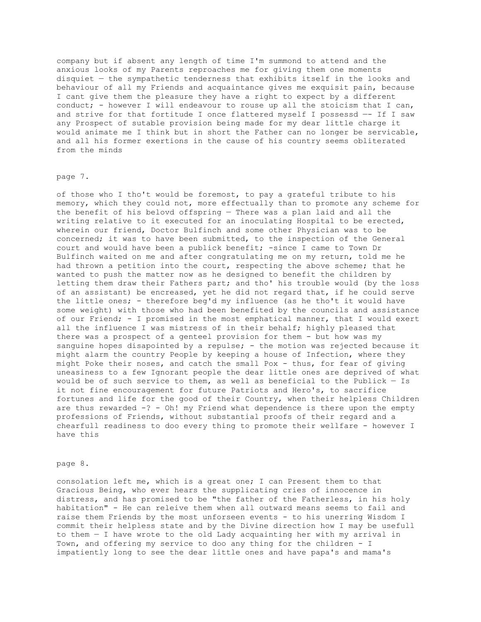company but if absent any length of time I'm summond to attend and the anxious looks of my Parents reproaches me for giving them one moments disquiet — the sympathetic tenderness that exhibits itself in the looks and behaviour of all my Friends and acquaintance gives me exquisit pain, because I cant give them the pleasure they have a right to expect by a different conduct; - however I will endeavour to rouse up all the stoicism that I can, and strive for that fortitude I once flattered myself I possessd —- If I saw any Prospect of sutable provision being made for my dear little charge it would animate me I think but in short the Father can no longer be servicable, and all his former exertions in the cause of his country seems obliterated from the minds

### page 7.

of those who I tho't would be foremost, to pay a grateful tribute to his memory, which they could not, more effectually than to promote any scheme for the benefit of his belovd offspring — There was a plan laid and all the writing relative to it executed for an inoculating Hospital to be erected, wherein our friend, Doctor Bulfinch and some other Physician was to be concerned; it was to have been submitted, to the inspection of the General court and would have been a publick benefit; -since I came to Town Dr Bulfinch waited on me and after congratulating me on my return, told me he had thrown a petition into the court, respecting the above scheme; that he wanted to push the matter now as he designed to benefit the children by letting them draw their Fathers part; and tho' his trouble would (by the loss of an assistant) be encreased, yet he did not regard that, if he could serve the little ones; - therefore beg'd my influence (as he tho't it would have some weight) with those who had been benefited by the councils and assistance of our Friend; - I promised in the most emphatical manner, that I would exert all the influence I was mistress of in their behalf; highly pleased that there was a prospect of a genteel provision for them - but how was my sanguine hopes disapointed by a repulse; - the motion was rejected because it might alarm the country People by keeping a house of Infection, where they might Poke their noses, and catch the small Pox - thus, for fear of giving uneasiness to a few Ignorant people the dear little ones are deprived of what would be of such service to them, as well as beneficial to the Publick  $-$  Is it not fine encouragement for future Patriots and Hero's, to sacrifice fortunes and life for the good of their Country, when their helpless Children are thus rewarded  $-? - Oh!$  my Friend what dependence is there upon the empty professions of Friends, without substantial proofs of their regard and a chearfull readiness to doo every thing to promote their wellfare - however I have this

#### page 8.

consolation left me, which is a great one; I can Present them to that Gracious Being, who ever hears the supplicating cries of innocence in distress, and has promised to be "the father of the Fatherless, in his holy habitation" - He can releive them when all outward means seems to fail and raise them Friends by the most unforseen events - to his unerring Wisdom I commit their helpless state and by the Divine direction how I may be usefull to them — I have wrote to the old Lady acquainting her with my arrival in Town, and offering my service to doo any thing for the children - I impatiently long to see the dear little ones and have papa's and mama's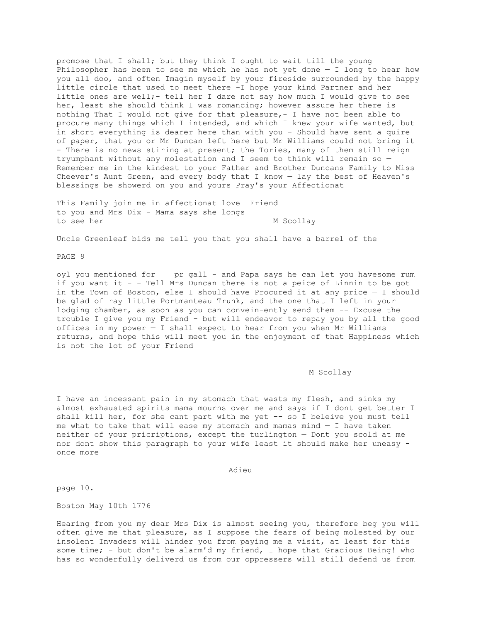promose that I shall; but they think I ought to wait till the young Philosopher has been to see me which he has not yet done  $-$  I long to hear how you all doo, and often Imagin myself by your fireside surrounded by the happy little circle that used to meet there -I hope your kind Partner and her little ones are well;- tell her I dare not say how much I would give to see her, least she should think I was romancing; however assure her there is nothing That I would not give for that pleasure,- I have not been able to procure many things which I intended, and which I knew your wife wanted, but in short everything is dearer here than with you - Should have sent a quire of paper, that you or Mr Duncan left here but Mr Williams could not bring it - There is no news stiring at present; the Tories, many of them still reign tryumphant without any molestation and I seem to think will remain so — Remember me in the kindest to your Father and Brother Duncans Family to Miss Cheever's Aunt Green, and every body that I know — lay the best of Heaven's blessings be showerd on you and yours Pray's your Affectionat

This Family join me in affectionat love Friend to you and Mrs Dix - Mama says she longs to see her M Scollay

Uncle Greenleaf bids me tell you that you shall have a barrel of the

PAGE 9

oyl you mentioned for pr gall - and Papa says he can let you havesome rum if you want it - - Tell Mrs Duncan there is not a peice of Linnin to be got in the Town of Boston, else I should have Procured it at any price — I should be glad of ray little Portmanteau Trunk, and the one that I left in your lodging chamber, as soon as you can convein-ently send them -- Excuse the trouble I give you my Friend - but will endeavor to repay you by all the good offices in my power — I shall expect to hear from you when Mr Williams returns, and hope this will meet you in the enjoyment of that Happiness which is not the lot of your Friend

#### M Scollay

I have an incessant pain in my stomach that wasts my flesh, and sinks my almost exhausted spirits mama mourns over me and says if I dont get better I shall kill her, for she cant part with me yet -- so I beleive you must tell me what to take that will ease my stomach and mamas mind  $-$  I have taken neither of your pricriptions, except the turlington — Dont you scold at me nor dont show this paragraph to your wife least it should make her uneasy once more

Adieu

page 10.

Boston May 10th 1776

Hearing from you my dear Mrs Dix is almost seeing you, therefore beg you will often give me that pleasure, as I suppose the fears of being molested by our insolent Invaders will hinder you from paying me a visit, at least for this some time; - but don't be alarm'd my friend, I hope that Gracious Being! who has so wonderfully deliverd us from our oppressers will still defend us from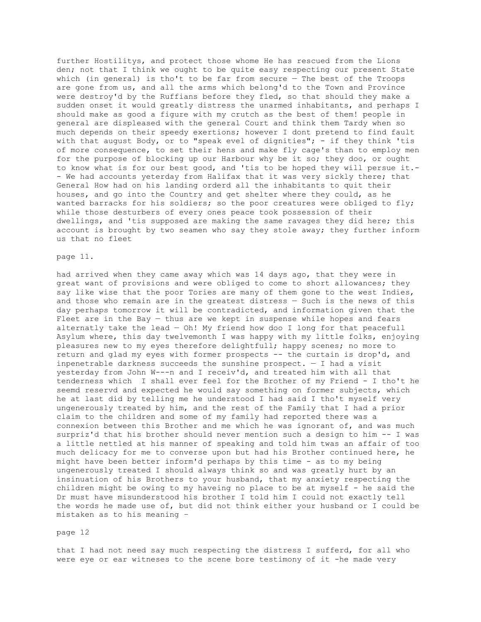further Hostilitys, and protect those whome He has rescued from the Lions den; not that I think we ought to be quite easy respecting our present State which (in general) is tho't to be far from secure — The best of the Troops are gone from us, and all the arms which belong'd to the Town and Province were destroy'd by the Ruffians before they fled, so that should they make a sudden onset it would greatly distress the unarmed inhabitants, and perhaps I should make as good a figure with my crutch as the best of them! people in general are displeased with the general Court and think them Tardy when so much depends on their speedy exertions; however I dont pretend to find fault with that august Body, or to "speak evel of dignities"; - if they think 'tis of more consequence, to set their hens and make fly cage's than to employ men for the purpose of blocking up our Harbour why be it so; they doo, or ought to know what is for our best good, and 'tis to be hoped they will persue it.- - We had accounts yeterday from Halifax that it was very sickly there; that General How had on his landing orderd all the inhabitants to quit their houses, and go into the Country and get shelter where they could, as he wanted barracks for his soldiers; so the poor creatures were obliged to fly; while those desturbers of every ones peace took possession of their dwellings, and 'tis supposed are making the same ravages they did here; this account is brought by two seamen who say they stole away; they further inform us that no fleet

#### page 11.

had arrived when they came away which was 14 days ago, that they were in great want of provisions and were obliged to come to short allowances; they say like wise that the poor Tories are many of them gone to the west Indies, and those who remain are in the greatest distress — Such is the news of this day perhaps tomorrow it will be contradicted, and information given that the Fleet are in the Bay  $-$  thus are we kept in suspense while hopes and fears alternatly take the lead — Oh! My friend how doo I long for that peacefull Asylum where, this day twelvemonth I was happy with my little folks, enjoying pleasures new to my eyes therefore delightfull; happy scenes; no more to return and glad my eyes with former prospects -- the curtain is drop'd, and inpenetrable darkness succeeds the sunshine prospect.  $- I$  had a visit yesterday from John W---n and I receiv'd, and treated him with all that tenderness which I shall ever feel for the Brother of my Friend - I tho't he seemd reservd and expected he would say something on former subjects, which he at last did by telling me he understood I had said I tho't myself very ungenerously treated by him, and the rest of the Family that I had a prior claim to the children and some of my family had reported there was a connexion between this Brother and me which he was ignorant of, and was much surpriz'd that his brother should never mention such a design to him -- I was a little nettled at his manner of speaking and told him twas an affair of too much delicacy for me to converse upon but had his Brother continued here, he might have been better inform'd perhaps by this time - as to my being ungenerously treated I should always think so and was greatly hurt by an insinuation of his Brothers to your husband, that my anxiety respecting the children might be owing to my haveing no place to be at myself - he said the Dr must have misunderstood his brother I told him I could not exactly tell the words he made use of, but did not think either your husband or I could be mistaken as to his meaning –

#### page 12

that I had not need say much respecting the distress I sufferd, for all who were eye or ear witneses to the scene bore testimony of it -he made very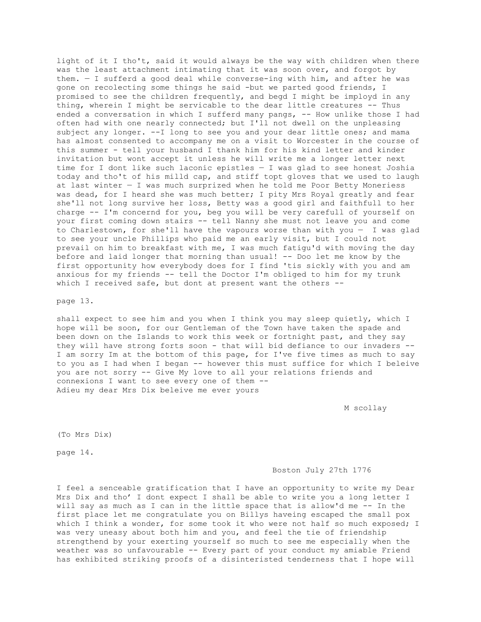light of it I tho't, said it would always be the way with children when there was the least attachment intimating that it was soon over, and forgot by them. — I sufferd a good deal while converse-ing with him, and after he was gone on recolecting some things he said -but we parted good friends, I promised to see the children frequently, and begd I might be imployd in any thing, wherein I might be servicable to the dear little creatures -- Thus ended a conversation in which I sufferd many pangs, -- How unlike those I had often had with one nearly connected; but I'll not dwell on the unpleasing subject any longer. --I long to see you and your dear little ones; and mama has almost consented to accompany me on a visit to Worcester in the course of this summer - tell your husband I thank him for his kind letter and kinder invitation but wont accept it unless he will write me a longer letter next time for I dont like such laconic epistles — I was glad to see honest Joshia today and tho't of his milld cap, and stiff topt gloves that we used to laugh at last winter — I was much surprized when he told me Poor Betty Moneriess was dead, for I heard she was much better; I pity Mrs Royal greatly and fear she'll not long survive her loss, Betty was a good girl and faithfull to her charge -- I'm concernd for you, beg you will be very carefull of yourself on your first coming down stairs -- tell Nanny she must not leave you and come to Charlestown, for she'll have the vapours worse than with you — I was glad to see your uncle Phillips who paid me an early visit, but I could not prevail on him to breakfast with me, I was much fatigu'd with moving the day before and laid longer that morning than usual! -- Doo let me know by the first opportunity how everybody does for I find 'tis sickly with you and am anxious for my friends -- tell the Doctor I'm obliged to him for my trunk which I received safe, but dont at present want the others --

page 13.

shall expect to see him and you when I think you may sleep quietly, which I hope will be soon, for our Gentleman of the Town have taken the spade and been down on the Islands to work this week or fortnight past, and they say they will have strong forts soon - that will bid defiance to our invaders -- I am sorry Im at the bottom of this page, for I've five times as much to say to you as I had when I began -- however this must suffice for which I beleive you are not sorry -- Give My love to all your relations friends and connexions I want to see every one of them -- Adieu my dear Mrs Dix beleive me ever yours

M scollay

(To Mrs Dix)

page 14.

### Boston July 27th 1776

I feel a senceable gratification that I have an opportunity to write my Dear Mrs Dix and tho' I dont expect I shall be able to write you a long letter I will say as much as I can in the little space that is allow'd me -- In the first place let me congratulate you on Billys haveing escaped the small pox which I think a wonder, for some took it who were not half so much exposed; I was very uneasy about both him and you, and feel the tie of friendship strengthend by your exerting yourself so much to see me especially when the weather was so unfavourable -- Every part of your conduct my amiable Friend has exhibited striking proofs of a disinteristed tenderness that I hope will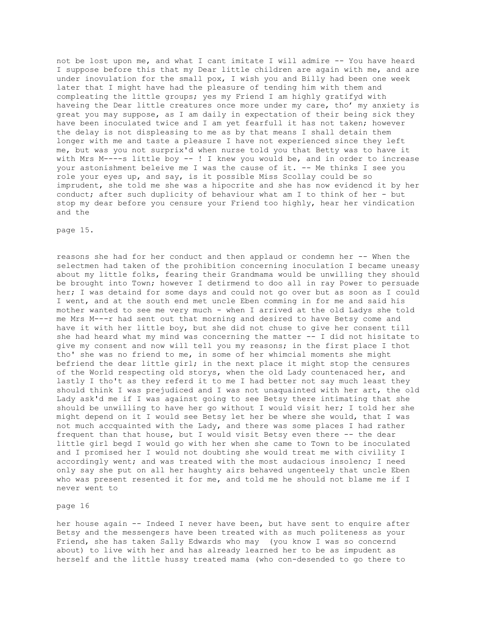not be lost upon me, and what I cant imitate I will admire -- You have heard I suppose before this that my Dear little children are again with me, and are under inovulation for the small pox, I wish you and Billy had been one week later that I might have had the pleasure of tending him with them and compleating the little groups; yes my Friend I am highly gratifyd with haveing the Dear little creatures once more under my care, tho' my anxiety is great you may suppose, as I am daily in expectation of their being sick they have been inoculated twice and I am yet fearfull it has not taken; however the delay is not displeasing to me as by that means I shall detain them longer with me and taste a pleasure I have not experienced since they left me, but was you not surprix'd when nurse told you that Betty was to have it with Mrs M----s little boy -- ! I knew you would be, and in order to increase your astonishment beleive me I was the cause of it. -- Me thinks I see you role your eyes up, and say, is it possible Miss Scollay could be so imprudent, she told me she was a hipocrite and she has now evidencd it by her conduct; after such duplicity of behaviour what am I to think of her - but stop my dear before you censure your Friend too highly, hear her vindication and the

#### page 15.

reasons she had for her conduct and then applaud or condemn her -- When the selectmen had taken of the prohibition concerning inoculation I became uneasy about my little folks, fearing their Grandmama would be unwilling they should be brought into Town; however I detirmend to doo all in ray Power to persuade her; I was detaind for some days and could not go over but as soon as I could I went, and at the south end met uncle Eben comming in for me and said his mother wanted to see me very much - when I arrived at the old Ladys she told me Mrs M---r had sent out that morning and desired to have Betsy come and have it with her little boy, but she did not chuse to give her consent till she had heard what my mind was concerning the matter  $--$  I did not hisitate to give my consent and now will tell you my reasons; in the first place I thot tho' she was no friend to me, in some of her whimcial moments she might befriend the dear little girl; in the next place it might stop the censures of the World respecting old storys, when the old Lady countenaced her, and lastly I tho't as they referd it to me I had better not say much least they should think I was prejudiced and I was not unaquainted with her art, the old Lady ask'd me if I was against going to see Betsy there intimating that she should be unwilling to have her go without I would visit her; I told her she might depend on it I would see Betsy let her be where she would, that I was not much accquainted with the Lady, and there was some places I had rather frequent than that house, but I would visit Betsy even there -- the dear little girl begd I would go with her when she came to Town to be inoculated and I promised her I would not doubting she would treat me with civility I accordingly went; and was treated with the most audacious insolenc; I need only say she put on all her haughty airs behaved ungenteely that uncle Eben who was present resented it for me, and told me he should not blame me if I never went to

# page 16

her house again -- Indeed I never have been, but have sent to enquire after Betsy and the messengers have been treated with as much politeness as your Friend, she has taken Sally Edwards who may (you know I was so concernd about) to live with her and has already learned her to be as impudent as herself and the little hussy treated mama (who con-desended to go there to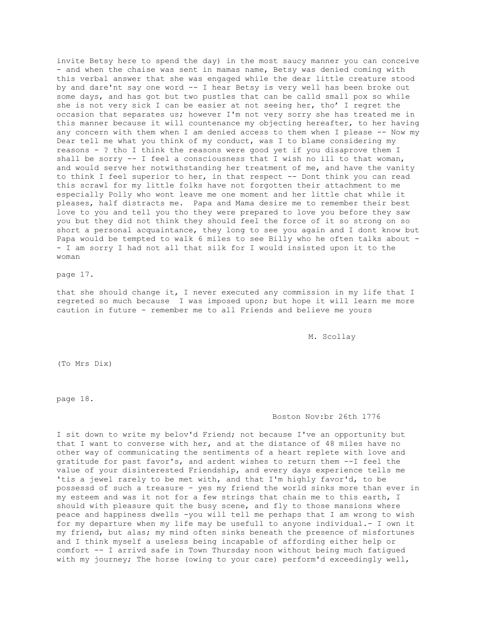invite Betsy here to spend the day) in the most saucy manner you can conceive - and when the chaise was sent in mamas name, Betsy was denied coming with this verbal answer that she was engaged while the dear little creature stood by and dare'nt say one word -- I hear Betsy is very well has been broke out some days, and has got but two pustles that can be calld small pox so while she is not very sick I can be easier at not seeing her, tho' I regret the occasion that separates us; however I'm not very sorry she has treated me in this manner because it will countenance my objecting hereafter, to her having any concern with them when I am denied access to them when I please -- Now my Dear tell me what you think of my conduct, was I to blame considering my reasons - ? tho I think the reasons were good yet if you disaprove them I shall be sorry -- I feel a consciousness that I wish no ill to that woman, and would serve her notwithstanding her treatment of me, and have the vanity to think I feel superior to her, in that respect -- Dont think you can read this scrawl for my little folks have not forgotten their attachment to me especially Polly who wont leave me one moment and her little chat while it pleases, half distracts me. Papa and Mama desire me to remember their best love to you and tell you tho they were prepared to love you before they saw you but they did not think they should feel the force of it so strong on so short a personal acquaintance, they long to see you again and I dont know but Papa would be tempted to walk 6 miles to see Billy who he often talks about - - I am sorry I had not all that silk for I would insisted upon it to the woman

page 17.

that she should change it, I never executed any commission in my life that I regreted so much because I was imposed upon; but hope it will learn me more caution in future - remember me to all Friends and believe me yours

M. Scollay

(To Mrs Dix)

page 18.

# Boston Nov:br 26th 1776

I sit down to write my belov'd Friend; not because I've an opportunity but that I want to converse with her, and at the distance of 48 miles have no other way of communicating the sentiments of a heart replete with love and gratitude for past favor's, and ardent wishes to return them --I feel the value of your disinterested Friendship, and every days experience tells me 'tis a jewel rarely to be met with, and that I'm highly favor'd, to be possessd of such a treasure - yes my friend the world sinks more than ever in my esteem and was it not for a few strings that chain me to this earth, I should with pleasure quit the busy scene, and fly to those mansions where peace and happiness dwells -you will tell me perhaps that I am wrong to wish for my departure when my life may be usefull to anyone individual.- I own it my friend, but alas; my mind often sinks beneath the presence of misfortunes and I think myself a useless being incapable of affording either help or comfort -- I arrivd safe in Town Thursday noon without being much fatigued with my journey; The horse (owing to your care) perform'd exceedingly well,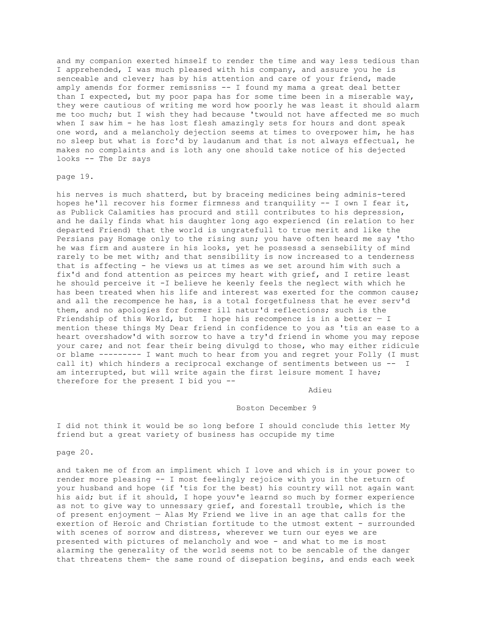and my companion exerted himself to render the time and way less tedious than I apprehended, I was much pleased with his company, and assure you he is senceable and clever; has by his attention and care of your friend, made amply amends for former remissniss -- I found my mama a great deal better than I expected, but my poor papa has for some time been in a miserable way, they were cautious of writing me word how poorly he was least it should alarm me too much; but I wish they had because 'twould not have affected me so much when I saw him - he has lost flesh amazingly sets for hours and dont speak one word, and a melancholy dejection seems at times to overpower him, he has no sleep but what is forc'd by laudanum and that is not always effectual, he makes no complaints and is loth any one should take notice of his dejected looks -- The Dr says

### page 19.

his nerves is much shatterd, but by braceing medicines being adminis-tered hopes he'll recover his former firmness and tranquility -- I own I fear it, as Publick Calamities has procurd and still contributes to his depression, and he daily finds what his daughter long ago experiencd (in relation to her departed Friend) that the world is ungratefull to true merit and like the Persians pay Homage only to the rising sun; you have often heard me say 'tho he was firm and austere in his looks, yet he possessd a sensebility of mind rarely to be met with; and that sensibility is now increased to a tenderness that is affecting - he views us at times as we set around him with such a fix'd and fond attention as peirces my heart with grief, and I retire least he should perceive it -I believe he keenly feels the neglect with which he has been treated when his life and interest was exerted for the common cause; and all the recompence he has, is a total forgetfulness that he ever serv'd them, and no apologies for former ill natur'd reflections; such is the Friendship of this World, but I hope his recompence is in a better  $- I$ mention these things My Dear friend in confidence to you as 'tis an ease to a heart overshadow'd with sorrow to have a try'd friend in whome you may repose your care; and not fear their being divulgd to those, who may either ridicule or blame --------- I want much to hear from you and regret your Folly (I must call it) which hinders a reciprocal exchange of sentiments between us -- I am interrupted, but will write again the first leisure moment I have; therefore for the present I bid you --

Adieu

### Boston December 9

I did not think it would be so long before I should conclude this letter My friend but a great variety of business has occupide my time

page 20.

and taken me of from an impliment which I love and which is in your power to render more pleasing -- I most feelingly rejoice with you in the return of your husband and hope (if 'tis for the best) his country will not again want his aid; but if it should, I hope youv'e learnd so much by former experience as not to give way to unnessary grief, and forestall trouble, which is the of present enjoyment — Alas My Friend we live in an age that calls for the exertion of Heroic and Christian fortitude to the utmost extent - surrounded with scenes of sorrow and distress, wherever we turn our eyes we are presented with pictures of melancholy and woe - and what to me is most alarming the generality of the world seems not to be sencable of the danger that threatens them- the same round of disepation begins, and ends each week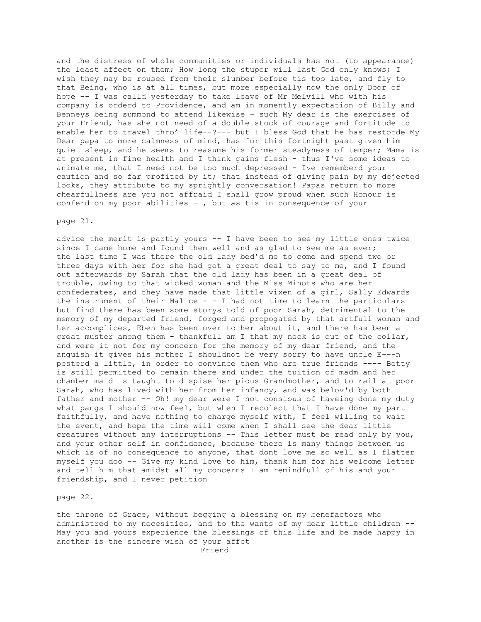and the distress of whole communities or individuals has not (to appearance) the least affect on them; How long the stupor will last God only knows; I wish they may be roused from their slumber before tis too late, and fly to that Being, who is at all times, but more especially now the only Door of hope -- I was calld yesterday to take leave of Mr Melvill who with his company is orderd to Providence, and am in momently expectation of Billy and Benneys being summond to attend likewise - such My dear is the exercises of your Friend, has she not need of a double stock of courage and fortitude to enable her to travel thro' life--?--- but I bless God that he has restorde My Dear papa to more calmness of mind, has for this fortnight past given him quiet sleep, and he seems to reasume his former steadyness of temper; Mama is at present in fine health and I think gains flesh - thus I've some ideas to animate me, that I need not be too much depressed - Ive rememberd your caution and so far profited by it; that instead of giving pain by my dejected looks, they attribute to my sprightly conversation! Papas return to more chearfullness are you not affraid I shall grow proud when such Honour is conferd on my poor abilities - , but as tis in consequence of your

### page 21.

advice the merit is partly yours -- I have been to see my little ones twice since I came home and found them well and as glad to see me as ever; the last time I was there the old lady bed'd me to come and spend two or three days with her for she had got a great deal to say to me, and I found out afterwards by Sarah that the old lady has been in a great deal of trouble, owing to that wicked woman and the Miss Minots who are her confederates, and they have made that little vixen of a girl, Sally Edwards the instrument of their Malice  $- - I$  had not time to learn the particulars but find there has been some storys told of poor Sarah, detrimental to the memory of my departed friend, forged and propogated by that artfull woman and her accomplices, Eben has been over to her about it, and there has been a great muster among them - thankfull am I that my neck is out of the collar, and were it not for my concern for the memory of my dear friend, and the anguish it gives his mother I shouldnot be very sorry to have uncle E---n pesterd a little, in order to convince them who are true friends ---- Betty is still permitted to remain there and under the tuition of madm and her chamber maid is taught to dispise her pious Grandmother, and to rail at poor Sarah, who has lived with her from her infancy, and was belov'd by both father and mother -- Oh! my dear were I not consious of haveing done my duty what pangs I should now feel, but when I recolect that I have done my part faithfully, and have nothing to charge myself with, I feel willing to wait the event, and hope the time will come when I shall see the dear little creatures without any interruptions -- This letter must be read only by you, and your other self in confidence, because there is many things between us which is of no consequence to anyone, that dont love me so well as I flatter myself you doo -- Give my kind love to him, thank him for his welcome letter and tell him that amidst all my concerns I am remindfull of his and your friendship, and I never petition

page 22.

the throne of Grace, without begging a blessing on my benefactors who administred to my necesities, and to the wants of my dear little children -- May you and yours experience the blessings of this life and be made happy in another is the sincere wish of your affct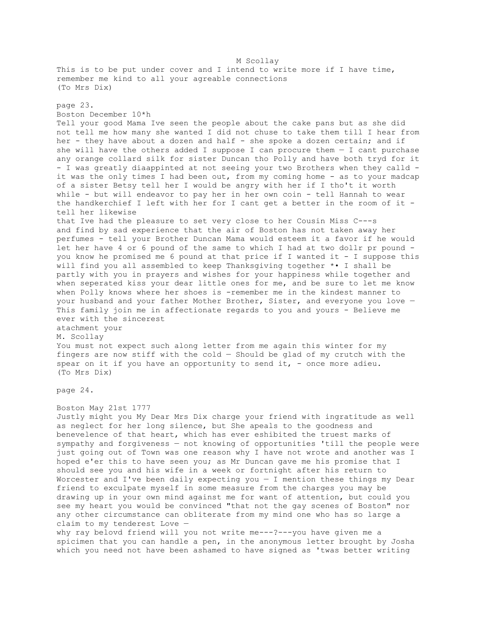M Scollay This is to be put under cover and I intend to write more if I have time, remember me kind to all your agreable connections (To Mrs Dix) page 23. Boston December 10\*h Tell your good Mama Ive seen the people about the cake pans but as she did not tell me how many she wanted I did not chuse to take them till I hear from her - they have about a dozen and half - she spoke a dozen certain; and if she will have the others added I suppose I can procure them  $-$  I cant purchase any orange collard silk for sister Duncan tho Polly and have both tryd for it - I was greatly diaappinted at not seeing your two Brothers when they calld it was the only times I had been out, from my coming home - as to your madcap of a sister Betsy tell her I would be angry with her if I tho't it worth while - but will endeavor to pay her in her own coin - tell Hannah to wear the handkerchief I left with her for I cant get a better in the room of it tell her likewise that Ive had the pleasure to set very close to her Cousin Miss C---s and find by sad experience that the air of Boston has not taken away her perfumes - tell your Brother Duncan Mama would esteem it a favor if he would let her have 4 or 6 pound of the same to which I had at two dollr pr pound you know he promised me 6 pound at that price if I wanted it - I suppose this will find you all assembled to keep Thanksgiving together \*• I shall be partly with you in prayers and wishes for your happiness while together and when seperated kiss your dear little ones for me, and be sure to let me know when Polly knows where her shoes is -remember me in the kindest manner to your husband and your father Mother Brother, Sister, and everyone you love — This family join me in affectionate regards to you and yours - Believe me ever with the sincerest atachment your M. Scollay You must not expect such along letter from me again this winter for my fingers are now stiff with the cold — Should be glad of my crutch with the spear on it if you have an opportunity to send it, - once more adieu. (To Mrs Dix) page 24. Boston May 21st 1777 Justly might you My Dear Mrs Dix charge your friend with ingratitude as well as neglect for her long silence, but She apeals to the goodness and benevelence of that heart, which has ever eshibited the truest marks of sympathy and forgiveness — not knowing of opportunities 'till the people were

just going out of Town was one reason why I have not wrote and another was I hoped e'er this to have seen you; as Mr Duncan gave me his promise that I should see you and his wife in a week or fortnight after his return to Worcester and I've been daily expecting you  $-$  I mention these things my Dear friend to exculpate myself in some measure from the charges you may be drawing up in your own mind against me for want of attention, but could you see my heart you would be convinced "that not the gay scenes of Boston" nor any other circumstance can obliterate from my mind one who has so large a claim to my tenderest Love —

why ray belovd friend will you not write me---?---you have given me a spicimen that you can handle a pen, in the anonymous letter brought by Josha which you need not have been ashamed to have signed as 'twas better writing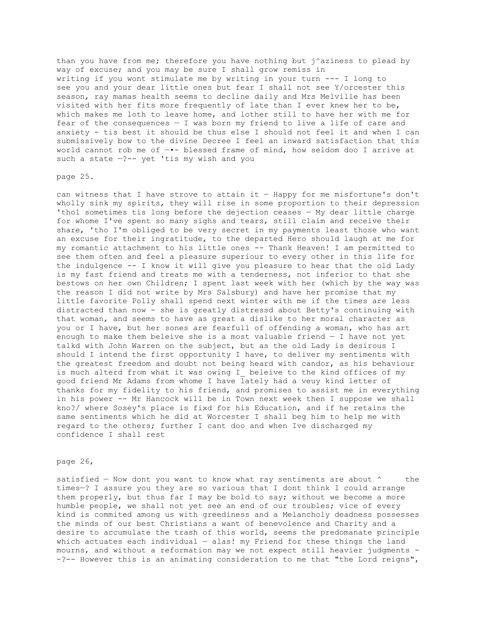than you have from me; therefore you have nothing but j^aziness to plead by way of excuse; and you may be sure I shall grow remiss in writing if you wont stimulate me by writing in your turn --- I long to see you and your dear little ones but fear I shall not see Y/orcester this season, ray mamas health seems to decline daily and Mrs Melville has been visited with her fits more frequently of late than I ever knew her to be, which makes me loth to leave home, and lother still to have her with me for fear of the consequences — I was born my friend to live a life of care and anxiety - tis best it should be thus else I should not feel it and when I can submissively bow to the divine Decree I feel an inward satisfaction that this world cannot rob me of —•- blessed frame of mind, how seldom doo I arrive at such a state -?-- yet 'tis my wish and you

## page 25.

can witness that I have strove to attain it — Happy for me misfortune's don't wholly sink my spirits, they will rise in some proportion to their depression 'tho1 sometimes tis long before the dejection ceases — My dear little charge for whome I've spent so many sighs and tears, still claim and receive their share, 'tho I'm obliged to be very secret in my payments least those who want an excuse for their ingratitude, to the departed Hero should laugh at me for my romantic attachment to his little ones -- Thank Heaven! I am permitted to see them often and feel a pleasure superiour to every other in this life for the indulgence -- I know it will give you pleasure to hear that the old Lady is my fast friend and treats me with a tenderness, not inferior to that she bestows on her own Children; I spent last week with her (which by the way was the reason I did not write by Mrs Salsbury) and have her promise that my little favorite Polly shall spend next winter with me if the times are less distracted than now - she is greatly distressd about Betty's continuing with that woman, and seems to have as great a dislike to her moral character as you or I have, but her sones are fearfull of offending a woman, who has art enough to make them beleive she is a most valuable friend — I have not yet talkd with John Warren on the subject, but as the old Lady is desirous I should I intend the first opportunity I have, to deliver my sentiments with the greatest freedom and doubt not being heard with candor, as his behaviour is much alterd from what it was owing I beleive to the kind offices of my good friend Mr Adams from whome I have lately had a veuy kind letter of thanks for my fidelity to his friend, and promises to assist me in everything in his power -- Mr Hancock will be in Town next week then I suppose we shall kno?/ where Sosey's place is fixd for his Education, and if he retains the same sentiments which he did at Worcester I shall beg him to help me with regard to the others; further I cant doo and when Ive discharged my confidence I shall rest

## page 26,

satisfied – Now dont you want to know what ray sentiments are about  $\uparrow$  the times—? I assure you they are so various that I dont think I could arrange them properly, but thus far I may be bold to say; without we become a more humble people, we shall not yet see an end of our troubles; vice of every kind is commited among us with greediness and a Melancholy deadness possesses the minds of our best Christians a want of benevolence and Charity and a desire to accumulate the trash of this world, seems the predomanate principle which actuates each individual  $-$  alas! my Friend for these things the land mourns, and without a reformation may we not expect still heavier judgments - -?-- However this is an animating consideration to me that "the Lord reigns",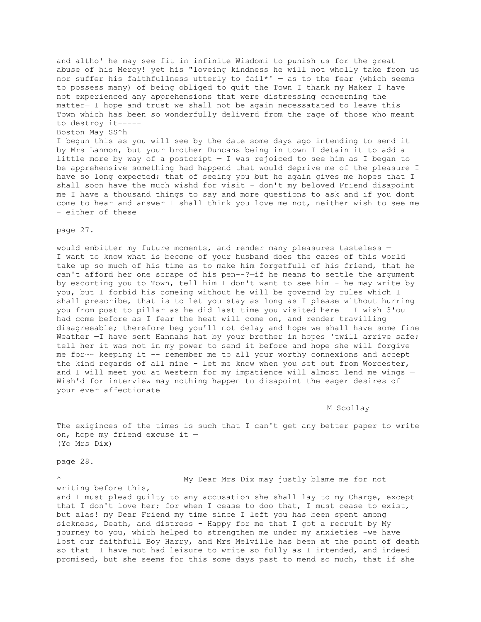and altho' he may see fit in infinite Wisdomi to punish us for the great abuse of his Mercy! yet his "loveing kindness he will not wholly take from us nor suffer his faithfullness utterly to fail\*'  $-$  as to the fear (which seems to possess many) of being obliged to quit the Town I thank my Maker I have not experienced any apprehensions that were distressing concerning the matter— I hope and trust we shall not be again necessatated to leave this Town which has been so wonderfully deliverd from the rage of those who meant to destroy it-----

# Boston May SS^h

I begun this as you will see by the date some days ago intending to send it by Mrs Lanmon, but your brother Duncans being in town I detain it to add a little more by way of a postcript — I was rejoiced to see him as I began to be apprehensive something had happend that would deprive me of the pleasure I have so long expected; that of seeing you but he again gives me hopes that I shall soon have the much wishd for visit - don't my beloved Friend disapoint me I have a thousand things to say and more questions to ask and if you dont come to hear and answer I shall think you love me not, neither wish to see me - either of these

#### page 27.

would embitter my future moments, and render many pleasures tasteless — I want to know what is become of your husband does the cares of this world take up so much of his time as to make him forgetfull of his friend, that he can't afford her one scrape of his pen--?-if he means to settle the argument by escorting you to Town, tell him I don't want to see him - he may write by you, but I forbid his comeing without he will be governd by rules which I shall prescribe, that is to let you stay as long as I please without hurring you from post to pillar as he did last time you visited here — I wish 3'ou had come before as I fear the heat will come on, and render travilling disagreeable; therefore beg you'll not delay and hope we shall have some fine Weather -I have sent Hannahs hat by your brother in hopes 'twill arrive safe; tell her it was not in my power to send it before and hope she will forgive me for~~ keeping it -- remember me to all your worthy connexions and accept the kind regards of all mine - let me know when you set out from Worcester, and I will meet you at Western for my impatience will almost lend me wings — Wish'd for interview may nothing happen to disapoint the eager desires of your ever affectionate

#### M Scollay

The exiginces of the times is such that I can't get any better paper to write on, hope my friend excuse it — (Yo Mrs Dix)

page 28.

My Dear Mrs Dix may justly blame me for not

writing before this, and I must plead guilty to any accusation she shall lay to my Charge, except that I don't love her; for when I cease to doo that, I must cease to exist, but alas! my Dear Friend my time since I left you has been spent among sickness, Death, and distress - Happy for me that I got a recruit by My journey to you, which helped to strengthen me under my anxieties -we have lost our faithfull Boy Harry, and Mrs Melville has been at the point of death so that I have not had leisure to write so fully as I intended, and indeed promised, but she seems for this some days past to mend so much, that if she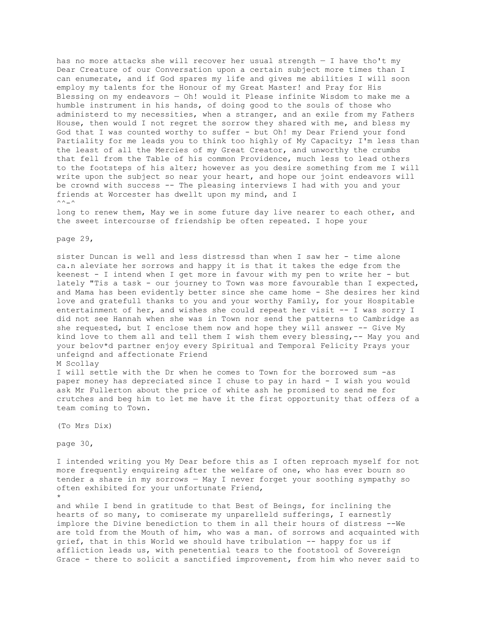has no more attacks she will recover her usual strength — I have tho't my Dear Creature of our Conversation upon a certain subject more times than I can enumerate, and if God spares my life and gives me abilities I will soon employ my talents for the Honour of my Great Master! and Pray for His Blessing on my endeavors — Oh! would it Please infinite Wisdom to make me a humble instrument in his hands, of doing good to the souls of those who administerd to my necessities, when a stranger, and an exile from my Fathers House, then would I not regret the sorrow they shared with me, and bless my God that I was counted worthy to suffer - but Oh! my Dear Friend your fond Partiality for me leads you to think too highly of My Capacity; I'm less than the least of all the Mercies of my Great Creator, and unworthy the crumbs that fell from the Table of his common Providence, much less to lead others to the footsteps of his alter; however as you desire something from me I will write upon the subject so near your heart, and hope our joint endeavors will be crownd with success -- The pleasing interviews I had with you and your friends at Worcester has dwellt upon my mind, and I  $\wedge \wedge -\wedge$ 

long to renew them, May we in some future day live nearer to each other, and the sweet intercourse of friendship be often repeated. I hope your

## page 29,

sister Duncan is well and less distressd than when I saw her - time alone ca.n aleviate her sorrows and happy it is that it takes the edge from the keenest - I intend when I get more in favour with my pen to write her - but lately "Tis a task - our journey to Town was more favourable than I expected, and Mama has been evidently better since she came home - She desires her kind love and gratefull thanks to you and your worthy Family, for your Hospitable entertainment of her, and wishes she could repeat her visit -- I was sorry I did not see Hannah when she was in Town nor send the patterns to Cambridge as she requested, but I enclose them now and hope they will answer -- Give My kind love to them all and tell them I wish them every blessing,-- May you and your belov\*d partner enjoy every Spiritual and Temporal Felicity Prays your unfeignd and affectionate Friend

M Scollay

I will settle with the Dr when he comes to Town for the borrowed sum -as paper money has depreciated since I chuse to pay in hard - I wish you would ask Mr Fullerton about the price of white ash he promised to send me for crutches and beg him to let me have it the first opportunity that offers of a team coming to Town.

(To Mrs Dix)

page 30,

I intended writing you My Dear before this as I often reproach myself for not more frequently enquireing after the welfare of one, who has ever bourn so tender a share in my sorrows — May I never forget your soothing sympathy so often exhibited for your unfortunate Friend, \*

and while I bend in gratitude to that Best of Beings, for inclining the hearts of so many, to comiserate my unparelleld sufferings, I earnestly implore the Divine benediction to them in all their hours of distress --We are told from the Mouth of him, who was a man. of sorrows and acquainted with grief, that in this World we should have tribulation -- happy for us if affliction leads us, with penetential tears to the footstool of Sovereign Grace - there to solicit a sanctified improvement, from him who never said to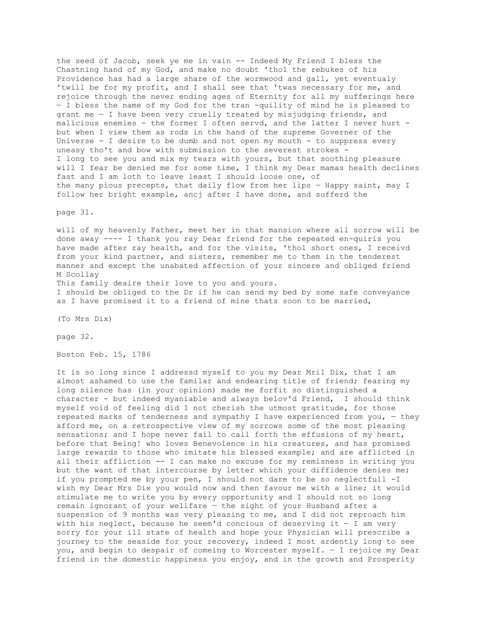the seed of Jacob, seek ye me in vain -- Indeed My Friend I bless the Chastning hand of my God, and make no doubt 'tho1 the rebukes of his Providence has had a large share of the wormwood and gall, yet eventualy 'twill be for my profit, and I shall see that 'twas necessary for me, and rejoice through the never ending ages of Eternity for all my sufferings here — I bless the name of my God for the tran -quility of mind he is pleased to grant me  $-$  I have been very cruelly treated by misjudging friends, and malicious enemies - the former I often servd, and the latter I never hurt but when I view them as rods in the hand of the supreme Governer of the Universe  $-$  I desire to be dumb and not open my mouth  $-$  to suppress every uneasy tho't and bow with submission to the severest strokes - I long to see you and mix my tears with yours, but that soothing pleasure will I fear be denied me for some time, I think my Dear mamas health declines fast and I am loth to leave least I should loose one, of the many pious precepts, that daily flow from her lips — Happy saint, may I follow her bright example, ancj after I have done, and sufferd the

page 31.

will of my heavenly Father, meet her in that mansion where all sorrow will be done away ---- I thank you ray Dear friend for the repeated en-quiris you have made after ray health, and for the visits, 'tho1 short ones, I receivd from your kind partner, and sisters, remember me to them in the tenderest manner and except the unabated affection of your sincere and obliged friend M Scollay This family deaire their love to you and yours.

I should be obliged to the Dr if he can send my bed by some safe conveyance as I have promised it to a friend of mine thats soon to be married,

(To Mrs Dix)

page 32.

Boston Feb. 15, 1786

It is so long since I addressd myself to you my Dear Mri1 Dix, that I am almost ashamed to use the familar and endearing title of friend; fearing my long silence has (in your opinion) made me forfit so distinguished a character - but indeed myaniable and always belov'd Friend, I should think myself void of feeling did I not cherish the utmost gratitude, for those repeated marks of tenderness and sympathy I have experienced from you,  $-$  they afford me, on a retrospective view of my sorrows some of the most pleasing sensations; and I hope never fail to call forth the effusions of my heart, before that Being! who loves Benevolence in his creatures, and has promised large rewards to those who imitate his blessed example; and are afflicted in all their affliction -- I can make no excuse for my remisness in writing you but the want of that intercourse by letter which your diffidence denies me; if you prompted me by your pen, I should not dare to be so neglectfull -I wish my Dear Mrs Dix you would now and then favour me with a line; it would stimulate me to write you by every opportunity and I should not so long remain ignorant of your wellfare — the sight of your Husband after a suspension of 9 months was very pleasing to me, and I did not reproach him with his neglect, because he seem'd concious of deserving it  $-$  I am very sorry for your ill state of health and hope your Physician will prescribe a journey to the seaside for your recovery, indeed I most ardently long to see you, and begin to despair of comeing to Worcester myself. — I rejoice my Dear friend in the domestic happiness you enjoy, and in the growth and Prosperity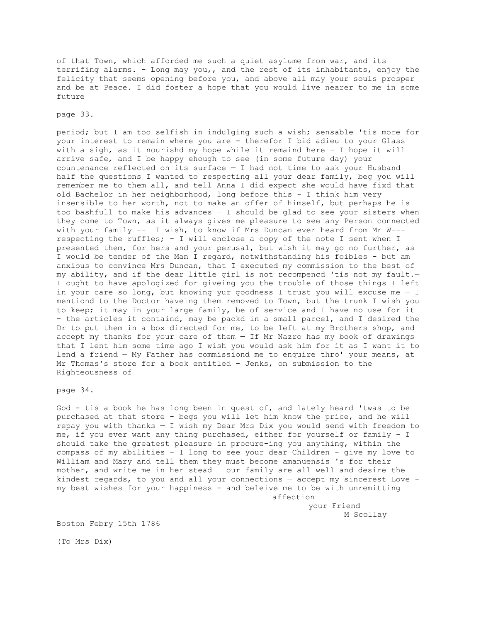of that Town, which afforded me such a quiet asylume from war, and its terrifing alarms. - Long may you,, and the rest of its inhabitants, enjoy the felicity that seems opening before you, and above all may your souls prosper and be at Peace. I did foster a hope that you would live nearer to me in some future

# page 33.

period; but I am too selfish in indulging such a wish; sensable 'tis more for your interest to remain where you are - therefor I bid adieu to your Glass with a sigh, as it nourishd my hope while it remaind here - I hope it will arrive safe, and I be happy ehough to see (in some future day) your countenance reflected on its surface  $-$  I had not time to ask your Husband half the questions I wanted to respecting all your dear family, beg you will remember me to them all, and tell Anna I did expect she would have fixd that old Bachelor in her neighborhood, long before this - I think him very insensible to her worth, not to make an offer of himself, but perhaps he is too bashfull to make his advances  $-$  I should be glad to see your sisters when they come to Town, as it always gives me pleasure to see any Person connected with your family -- I wish, to know if Mrs Duncan ever heard from Mr W-- respecting the ruffles; - I will enclose a copy of the note I sent when I presented them, for hers and your perusal, but wish it may go no further, as I would be tender of the Man I regard, notwithstanding his foibles - but am anxious to convince Mrs Duncan, that I executed my commission to the best of my ability, and if the dear little girl is not recompencd 'tis not my fault.— I ought to have apologized for giveing you the trouble of those things I left in your care so long, but knowing yur goodness I trust you will excuse me — I mentiond to the Doctor haveing them removed to Town, but the trunk I wish you to keep; it may in your large family, be of service and I have no use for it - the articles it containd, may be packd in a small parcel, and I desired the Dr to put them in a box directed for me, to be left at my Brothers shop, and accept my thanks for your care of them — If Mr Nazro has my book of drawings that I lent him some time ago I wish you would ask him for it as I want it to lend a friend — My Father has commissiond me to enquire thro' your means, at Mr Thomas's store for a book entitled - Jenks, on submission to the Righteousness of

page 34.

God - tis a book he has long been in quest of, and lately heard 'twas to be purchased at that store - begs you will let him know the price, and he will repay you with thanks — I wish my Dear Mrs Dix you would send with freedom to me, if you ever want any thing purchased, either for yourself or family - I should take the greatest pleasure in procure-ing you anything, within the compass of my abilities - I long to see your dear Children - give my love to William and Mary and tell them they must become amanuensis 's for their mother, and write me in her stead — our family are all well and desire the kindest regards, to you and all your connections — accept my sincerest Love my best wishes for your happiness - and beleive me to be with unremitting affection

> your Friend M Scollay

Boston Febry 15th 1786

(To Mrs Dix)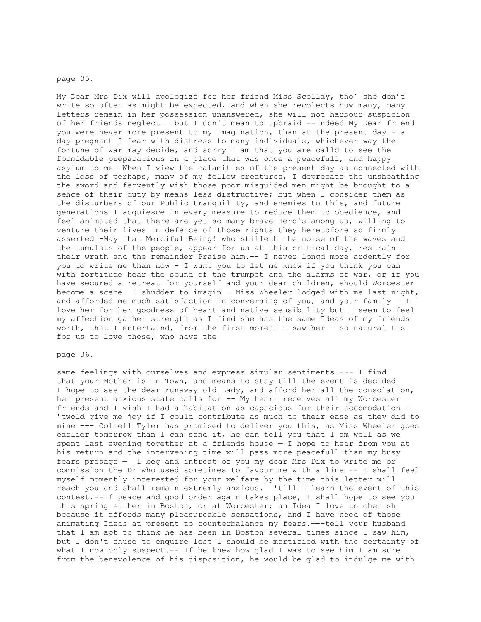### page 35.

My Dear Mrs Dix will apologize for her friend Miss Scollay, tho' she don't write so often as might be expected, and when she recolects how many, many letters remain in her possession unanswered, she will not harbour suspicion of her friends neglect — but I don't mean to upbraid --Indeed My Dear friend you were never more present to my imagination, than at the present day - a day pregnant I fear with distress to many individuals, whichever way the fortune of war may decide, and sorry I am that you are calld to see the formidable preparations in a place that was once a peacefull, and happy asylum to me —When I view the calamities of the present day as connected with the loss of perhaps, many of my fellow creatures, I deprecate the unsheathing the sword and fervently wish those poor misguided men might be brought to a sehce of their duty by means less distructive; but when I consider them as the disturbers of our Public tranquility, and enemies to this, and future generations I acquiesce in every measure to reduce them to obedience, and feel animated that there are yet so many brave Hero's among us, willing to venture their lives in defence of those rights they heretofore so firmly asserted -May that Merciful Being! who stilleth the noise of the waves and the tumulsts of the people, appear for us at this critical day, restrain their wrath and the remainder Praise him.-- I never longd more ardently for you to write me than now - I want you to let me know if you think you can with fortitude hear the sound of the trumpet and the alarms of war, or if you have secured a retreat for yourself and your dear children, should Worcester become a scene I shudder to imagin — Miss Wheeler lodged with me last night, and afforded me much satisfaction in conversing of you, and your family  $- I$ love her for her goodness of heart and native sensibility but I seem to feel my affection gather strength as I find she has the same Ideas of my friends worth, that I entertaind, from the first moment I saw her  $-$  so natural tis for us to love those, who have the

# page 36.

same feelings with ourselves and express simular sentiments.--- I find that your Mother is in Town, and means to stay till the event is decided I hope to see the dear runaway old Lady, and afford her all the consolation, her present anxious state calls for -- My heart receives all my Worcester friends and I wish I had a habitation as capacious for their accomodation - 'twold give me joy if I could contribute as much to their ease as they did to mine --- Colnell Tyler has promised to deliver you this, as Miss Wheeler goes earlier tomorrow than I can send it, he can tell you that I am well as we spent last evening together at a friends house — I hope to hear from you at his return and the intervening time will pass more peacefull than my busy fears presage — I beg and intreat of you my dear Mrs Dix to write me or commission the Dr who used sometimes to favour me with a line -- I shall feel myself momently interested for your welfare by the time this letter will reach you and shall remain extremly anxious. 'till I learn the event of this contest.--If peace and good order again takes place, I shall hope to see you this spring either in Boston, or at Worcester; an Idea I love to cherish because it affords many pleasureable sensations, and I have need of those animating Ideas at present to counterbalance my fears.—--tell your husband that I am apt to think he has been in Boston several times since I saw him, but I don't chuse to enquire lest I should be mortified with the certainty of what I now only suspect.-- If he knew how glad I was to see him I am sure from the benevolence of his disposition, he would be glad to indulge me with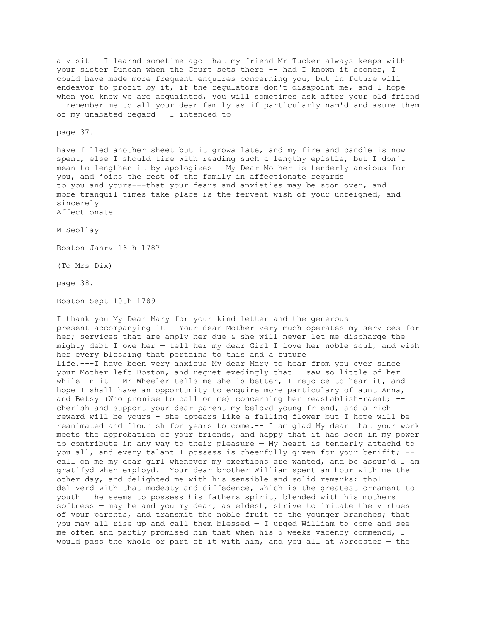a visit-- I learnd sometime ago that my friend Mr Tucker always keeps with your sister Duncan when the Court sets there -- had I known it sooner, I could have made more frequent enquires concerning you, but in future will endeavor to profit by it, if the regulators don't disapoint me, and I hope when you know we are acquainted, you will sometimes ask after your old friend — remember me to all your dear family as if particularly nam'd and asure them of my unabated regard — I intended to

page 37.

have filled another sheet but it growa late, and my fire and candle is now spent, else I should tire with reading such a lengthy epistle, but I don't mean to lengthen it by apologizes — My Dear Mother is tenderly anxious for you, and joins the rest of the family in affectionate regards to you and yours---that your fears and anxieties may be soon over, and more tranquil times take place is the fervent wish of your unfeigned, and sincerely Affectionate

M Seollay

Boston Janrv 16th 1787

(To Mrs Dix)

page 38.

Boston Sept 10th 1789

I thank you My Dear Mary for your kind letter and the generous present accompanying it — Your dear Mother very much operates my services for her; services that are amply her due & she will never let me discharge the mighty debt I owe her — tell her my dear Girl I love her noble soul, and wish her every blessing that pertains to this and a future life.---I have been very anxious My dear Mary to hear from you ever since your Mother left Boston, and regret exedingly that I saw so little of her while in it  $-$  Mr Wheeler tells me she is better, I rejoice to hear it, and hope I shall have an opportunity to enquire more particulary of aunt Anna, and Betsy (Who promise to call on me) concerning her reastablish-raent; - cherish and support your dear parent my belovd young friend, and a rich reward will be yours - she appears like a falling flower but I hope will be reanimated and flourish for years to come.-- I am glad My dear that your work meets the approbation of your friends, and happy that it has been in my power to contribute in any way to their pleasure — My heart is tenderly attachd to you all, and every talant I possess is cheerfully given for your benifit; -call on me my dear girl whenever my exertions are wanted, and be assur'd I am gratifyd when employd.— Your dear brother William spent an hour with me the other day, and delighted me with his sensible and solid remarks; tho1 deliverd with that modesty and diffedence, which is the greatest ornament to youth — he seems to possess his fathers spirit, blended with his mothers softness — may he and you my dear, as eldest, strive to imitate the virtues of your parents, and transmit the noble fruit to the younger branches; that you may all rise up and call them blessed — I urged William to come and see me often and partly promised him that when his 5 weeks vacency commencd, I would pass the whole or part of it with him, and you all at Worcester — the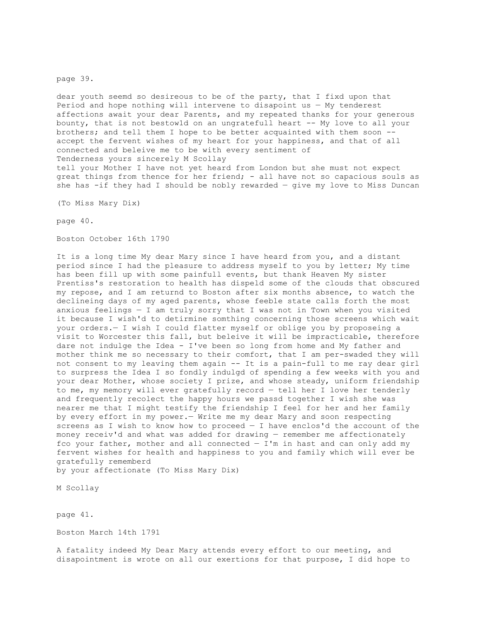## page 39.

dear youth seemd so desireous to be of the party, that I fixd upon that Period and hope nothing will intervene to disapoint us  $-$  My tenderest affections await your dear Parents, and my repeated thanks for your generous bounty, that is not bestow1d on an ungratefull heart -- My love to all your brothers; and tell them I hope to be better acquainted with them soon - accept the fervent wishes of my heart for your happiness, and that of all connected and beleive me to be with every sentiment of Tenderness yours sincerely M Scollay tell your Mother I have not yet heard from London but she must not expect great things from thence for her friend; - all have not so capacious souls as she has -if they had I should be nobly rewarded — give my love to Miss Duncan

(To Miss Mary Dix)

page 40.

Boston October 16th 1790

It is a long time My dear Mary since I have heard from you, and a distant period since I had the pleasure to address myself to you by letter; My time has been fill up with some painfull events, but thank Heaven My sister Prentiss's restoration to health has dispeld some of the clouds that obscured my repose, and I am returnd to Boston after six months absence, to watch the declineing days of my aged parents, whose feeble state calls forth the most anxious feelings — I am truly sorry that I was not in Town when you visited it because I wish'd to detirmine somthing concerning those screens which wait your orders.— I wish I could flatter myself or oblige you by proposeing a visit to Worcester this fall, but beleive it will be impracticable, therefore dare not indulge the Idea - I've been so long from home and My father and mother think me so necessary to their comfort, that I am per-swaded they will not consent to my leaving them again -- It is a pain-full to me ray dear girl to surpress the Idea I so fondly indulgd of spending a few weeks with you and your dear Mother, whose society I prize, and whose steady, uniform friendship to me, my memory will ever gratefully record — tell her I love her tenderly and frequently recolect the happy hours we passd together I wish she was nearer me that I might testify the friendship I feel for her and her family by every effort in my power.— Write me my dear Mary and soon respecting screens as I wish to know how to proceed — I have enclos'd the account of the money receiv'd and what was added for drawing — remember me affectionately fco your father, mother and all connected  $-$  I'm in hast and can only add my fervent wishes for health and happiness to you and family which will ever be gratefully rememberd by your affectionate (To Miss Mary Dix)

M Scollay

page 41.

Boston March 14th 1791

A fatality indeed My Dear Mary attends every effort to our meeting, and disapointment is wrote on all our exertions for that purpose, I did hope to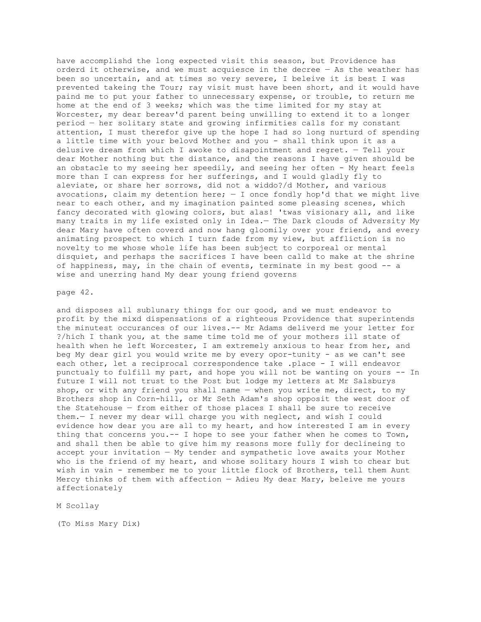have accomplishd the long expected visit this season, but Providence has orderd it otherwise, and we must acquiesce in the decree  $-$  As the weather has been so uncertain, and at times so very severe, I beleive it is best I was prevented takeing the Tour; ray visit must have been short, and it would have paind me to put your father to unnecessary expense, or trouble, to return me home at the end of 3 weeks; which was the time limited for my stay at Worcester, my dear bereav'd parent being unwilling to extend it to a longer period — her solitary state and growing infirmities calls for my constant attention, I must therefor give up the hope I had so long nurturd of spending a little time with your belovd Mother and you - shall think upon it as a delusive dream from which I awoke to disapointment and regret. — Tell your dear Mother nothing but the distance, and the reasons I have given should be an obstacle to my seeing her speedily, and seeing her often - My heart feels more than I can express for her sufferings, and I would gladly fly to aleviate, or share her sorrows, did not a widdo?/d Mother, and various avocations, claim my detention here;  $-$  I once fondly hop'd that we might live near to each other, and my imagination painted some pleasing scenes, which fancy decorated with glowing colors, but alas! 'twas visionary all, and like many traits in my life existed only in Idea.— The Dark clouds of Adversity My dear Mary have often coverd and now hang gloomily over your friend, and every animating prospect to which I turn fade from my view, but affliction is no novelty to me whose whole life has been subject to corporeal or mental disquiet, and perhaps the sacrifices I have been calld to make at the shrine of happiness, may, in the chain of events, terminate in my best good -- a wise and unerring hand My dear young friend governs

#### page 42.

and disposes all sublunary things for our good, and we must endeavor to profit by the mixd dispensations of a righteous Providence that superintends the minutest occurances of our lives.-- Mr Adams deliverd me your letter for ?/hich I thank you, at the same time told me of your mothers ill state of health when he left Worcester, I am extremely anxious to hear from her, and beg My dear girl you would write me by every opor-tunity - as we can't see each other, let a reciprocal correspondence take .place - I will endeavor punctualy to fulfill my part, and hope you will not be wanting on yours -- In future I will not trust to the Post but lodge my letters at Mr Salsburys shop, or with any friend you shall name — when you write me, direct, to my Brothers shop in Corn-hill, or Mr Seth Adam's shop opposit the west door of the Statehouse — from either of those places I shall be sure to receive them.— I never my dear will charge you with neglect, and wish I could evidence how dear you are all to my heart, and how interested I am in every thing that concerns you.-- I hope to see your father when he comes to Town, and shall then be able to give him my reasons more fully for declineing to accept your invitation — My tender and sympathetic love awaits your Mother who is the friend of my heart, and whose solitary hours I wish to chear but wish in vain - remember me to your little flock of Brothers, tell them Aunt Mercy thinks of them with affection — Adieu My dear Mary, beleive me yours affectionately

# M Scollay

(To Miss Mary Dix)